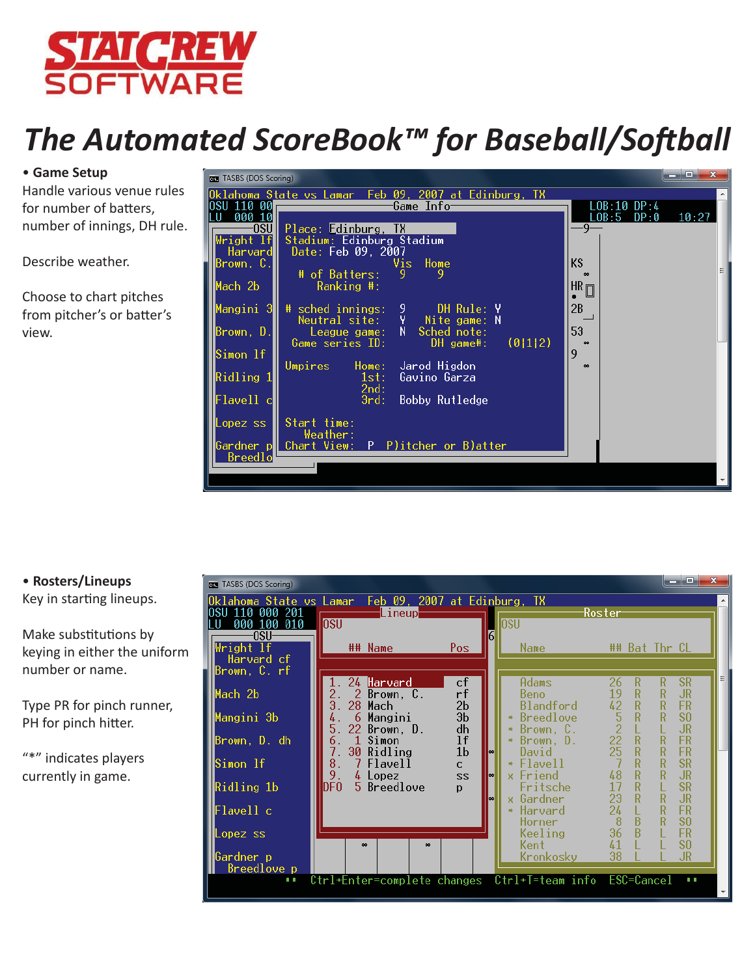

# *The Automated ScoreBook™ for Baseball/Softball*

# • **Game Setup**

Handle various venue rules for number of batters, number of innings, DH rule.

Describe weather.

Choose to chart pitches from pitcher's or batter's view.



# • **Rosters/Lineups** Key in starting lineups.

Make substitutions by keying in either the uniform number or name.

Type PR for pinch runner, PH for pinch hitter.

"\*" indicates players currently in game.

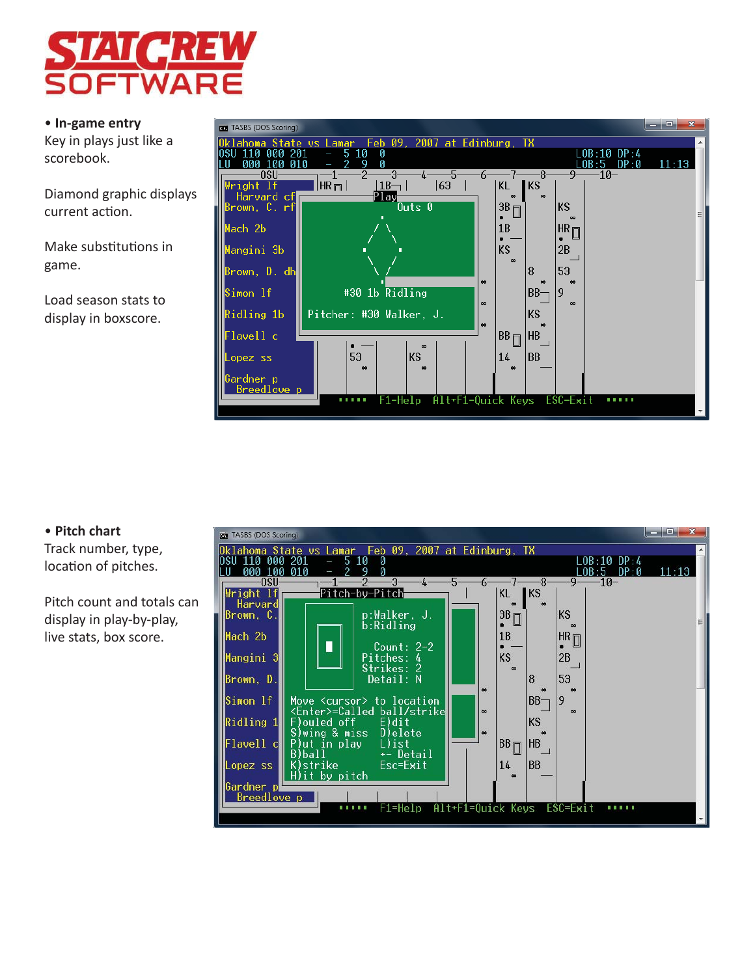

#### • **In-game entry**

Key in plays just like a scorebook.

Diamond graphic displays current action.

Make substitutions in game.

Load season stats to display in boxscore.



# • **Pitch chart**

Track number, type, location of pitches.

Pitch count and totals can display in play-by-play, live stats, box score.

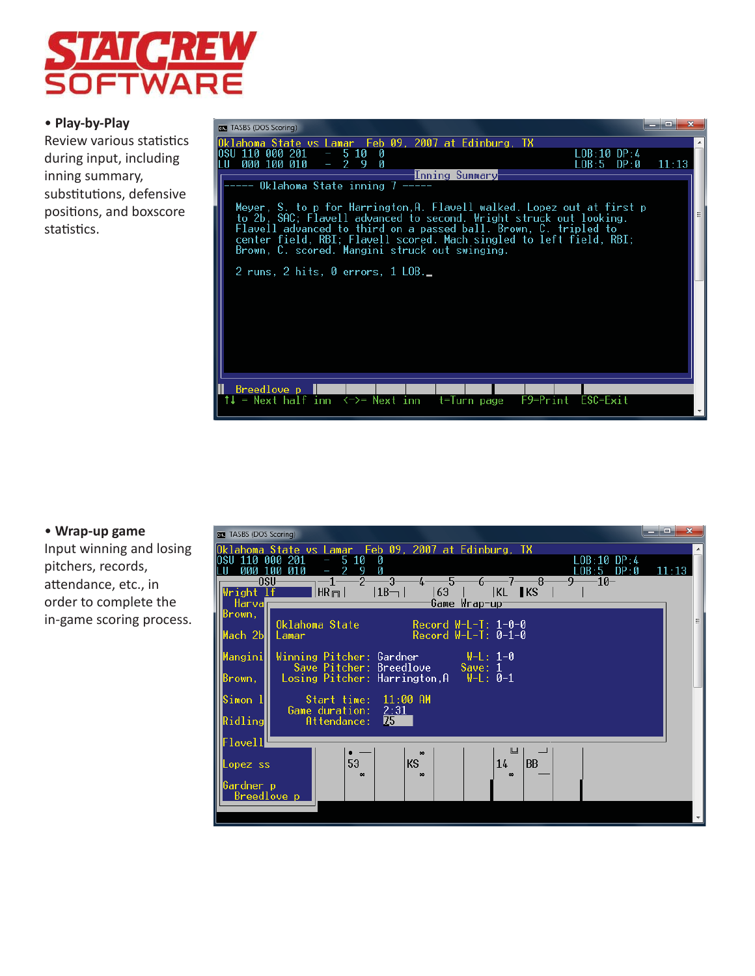

## • **Play-by-Play**

Review various statistics during input, including inning summary, substitutions, defensive positions, and boxscore statistics.



#### • **Wrap-up game**

Input winning and losing pitchers, records, attendance, etc., in order to complete the in-game scoring process.

| <b>BET</b> TASBS (DOS Scoring) |                                                                                          | $\mathbf{x}$<br>o. |
|--------------------------------|------------------------------------------------------------------------------------------|--------------------|
|                                | Oklahoma State vs Lamar Feb 09, 2007 at Edinburg, TX                                     |                    |
| INSIT<br>000 100               | 110 000 201<br>$-510$<br>Ø<br>LOB:10 DP:4<br>010<br>LOB:5 DP:0<br>Ø<br>$\equiv$          | 11:13              |
|                                | $\overline{\phantom{1}}$ -3<br>-7——8-<br>0SU-<br>-5-<br>-6–<br>-9—<br>–10−<br>-2-<br>-4– |                    |
| Wright lf                      | $ KL $ KS<br>HR <sub>m</sub><br>163<br>$ 1B- $                                           |                    |
| Harval<br>Brown.               | <u> Game Wrap-up</u>                                                                     |                    |
|                                | Oklahoma State<br>Record $W-L-T$ : 1-0-0                                                 | 릐                  |
| Mach 2b <b>H</b>               | Record $W-L-T: 0-1-0$<br>Lamar                                                           |                    |
| Mangini∎                       | Winning Pitcher: Gardner<br>— W-L: 1-0                                                   |                    |
|                                | Save Pitcher: Breedlove<br>Save: $1$                                                     |                    |
| Brown.                         | Losing Pitcher: Harrington, $A$ $W-L$ : 0-1                                              |                    |
| Simon 1                        | Start time: 11:00 AM                                                                     |                    |
| Ridling                        | Game duration:<br>2:31<br>175<br>$\mathsf{Attendance:}$                                  |                    |
|                                |                                                                                          |                    |
| ${\sf Flavell}$                | Ш                                                                                        |                    |
| Lopez ss                       | $\bullet$<br>53<br>ΚS<br><b>BB</b><br>14                                                 |                    |
|                                | $\sim$<br>$\sim$<br>$\infty$                                                             |                    |
| Gardner p                      | Breedlove p                                                                              |                    |
|                                |                                                                                          |                    |
|                                |                                                                                          |                    |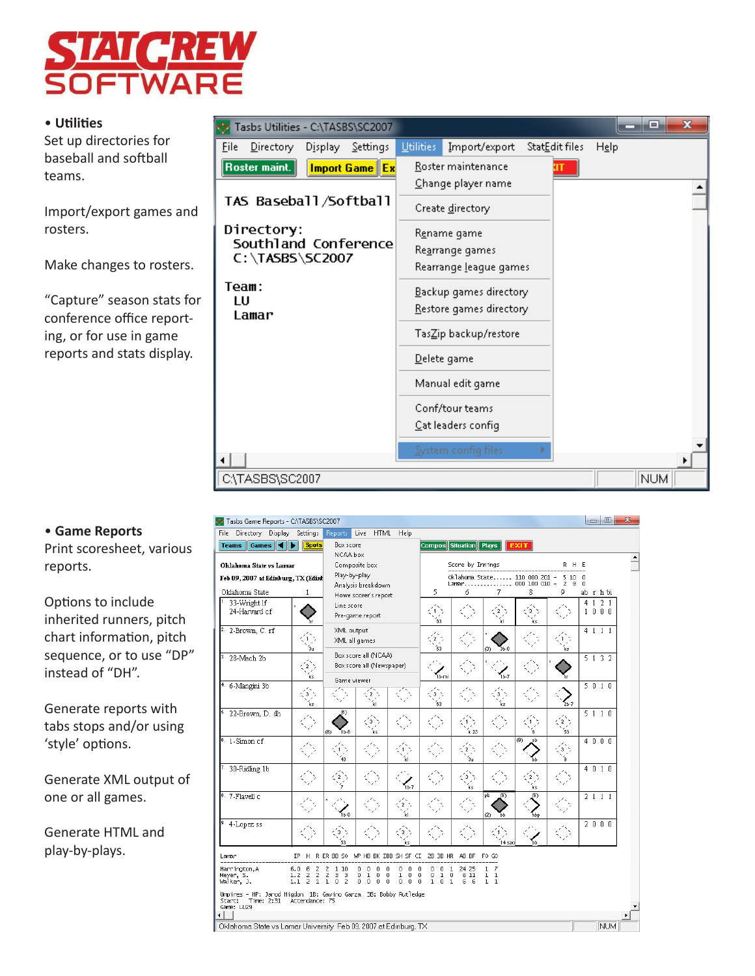

# • **UƟ liƟ es**

Set up directories for baseball and softball teams.

Import/export games and rosters.

Make changes to rosters.

"Capture" season stats for conference office reporting, or for use in game reports and stats display.



| File Directory Display Settings                                                             |                                                               | Reports                                               | Live HTML Help                                                               |                                                      |                                                                                       |                                   |                                   |                          |                      |                        |         |  |
|---------------------------------------------------------------------------------------------|---------------------------------------------------------------|-------------------------------------------------------|------------------------------------------------------------------------------|------------------------------------------------------|---------------------------------------------------------------------------------------|-----------------------------------|-----------------------------------|--------------------------|----------------------|------------------------|---------|--|
| Games 4<br><b>Teams</b>                                                                     | <b>Spots</b>                                                  | Box score                                             |                                                                              |                                                      | Compos Situation Plays                                                                |                                   |                                   | <b>EXIT</b>              |                      |                        |         |  |
|                                                                                             |                                                               | NCAA box                                              |                                                                              |                                                      |                                                                                       |                                   |                                   |                          |                      |                        |         |  |
| Oklahoma State vs Lamar                                                                     |                                                               | Composite box                                         |                                                                              |                                                      | Score by Innings                                                                      |                                   |                                   |                          | RHE                  |                        |         |  |
| Feb 09, 2007 at Edinburg, TX (Edinb                                                         | Play-by-play<br>Analysis breakdown                            |                                                       |                                                                              | Oklahoma State 110 000 201 -<br>Lamar 000 100 010 -  |                                                                                       |                                   |                                   | 510<br>$\mathbf{z}$<br>9 | $\Omega$<br>$\Omega$ |                        |         |  |
| Oklahoma State                                                                              | 1                                                             |                                                       | Howe scorer's report                                                         |                                                      | 5                                                                                     | б                                 | 7                                 | 8                        | g                    |                        | ab rhbi |  |
| $1.33-Wright$ If<br>24-Harvard of                                                           |                                                               | Line score<br>Pre-game report                         |                                                                              | 63                                                   |                                                                                       | ΪkΙ                               | ks                                |                          | $\overline{4}$       | $1 \t2 \t1$<br>1 0 0 0 |         |  |
| <sup>2.</sup> 2-Brown, C. rf                                                                | 1<br>∕áu                                                      | XML output<br>XML all games                           |                                                                              |                                                      | $\overline{2}$<br>53                                                                  |                                   | $3b - 8$<br>(3)                   |                          | ks                   |                        | 4 1 1 1 |  |
| 28-Mach 2b                                                                                  | $2^{\circ}$<br>ίs                                             | Game viewer                                           | Box score all (NCAA)<br>Box score all (Newspaper)                            |                                                      | 1b-mi                                                                                 |                                   | -<br>1b-7                         |                          |                      |                        | 5132    |  |
| <sup>4.</sup> 6-Mangini 3b                                                                  | îз,<br>Ίĸs                                                    |                                                       | íκι                                                                          |                                                      | ′3.`<br>63                                                                            |                                   | 3<br>Ϊĸs                          |                          | $2b-7$               |                        | 5010    |  |
| 22-Brown, D. dh                                                                             |                                                               | (B)<br>16-8<br>(8)                                    | 3<br>ks                                                                      |                                                      |                                                                                       | k 23                              |                                   |                          | $\mathbf{2}$<br>53   |                        | 5110    |  |
| $6.1$ -Simon cf                                                                             |                                                               | 43                                                    |                                                                              | ÏкI                                                  |                                                                                       | Зu                                |                                   | (9)<br>sb<br>ЪЬ          | 3                    |                        | 4000    |  |
| 7. 30-Ridling 1b                                                                            |                                                               |                                                       |                                                                              | -<br>1ь-7                                            |                                                                                       | 3                                 |                                   | ks                       |                      |                        | 4 0 1 0 |  |
| 8. 7-Flavell c                                                                              |                                                               | 1b-8                                                  |                                                                              | ΪkΙ                                                  |                                                                                       |                                   | lob<br>ത<br>(2)<br>ЪЬ             | ത<br>hbp                 |                      |                        | 2111    |  |
| 9. 4-Lopez ss                                                                               |                                                               | 3<br>53                                               |                                                                              | ks                                                   |                                                                                       |                                   | 14 sac                            | Ъh                       |                      |                        | 2000    |  |
| Lamar                                                                                       | IP.                                                           |                                                       |                                                                              |                                                      | H RERBBSO WPHBBKIBBSH SFCI 2B3BHR ABBF FOGO                                           |                                   |                                   |                          |                      |                        |         |  |
| Harrington, A<br>Meyer, S.<br>Walker, J.                                                    | 6.0<br>6<br>z<br>$\frac{2}{2}$<br>$\frac{2}{1}$<br>1.2<br>1.1 | 1 10<br>2<br>$\frac{2}{1}$<br>ā<br>0<br>$\frac{3}{2}$ | 0<br>0<br>0<br>$\mathbf 1$<br>$\mathbf 0$<br>0<br>$\Omega$<br>$\Omega$<br>0. | 0<br>0<br>0<br>0<br>0<br>$\mathbf{1}$<br>0<br>0<br>0 | 0<br>0<br>0<br>1<br>$\bf{0}$<br>0<br>1<br>0<br>$\Omega$<br>$1 \Omega$<br>$\mathbf{1}$ | 24 25<br>6 11<br>к.<br>$\sqrt{2}$ | $1 \t7$<br>$1\quad1$<br>$1\quad1$ |                          |                      |                        |         |  |
| Umpires - HP: Jarod Higdon 1B: Gavino Garza 3B: Bobby Rutledge<br>Start:<br>Game: LU29<br>٠ | Time: 2:31 Attendance: 75                                     |                                                       |                                                                              |                                                      |                                                                                       |                                   |                                   |                          |                      |                        |         |  |

#### • **Game Reports**

Print scoresheet, various reports.

Options to include inherited runners, pitch chart information, pitch sequence, or to use "DP" instead of "DH".

Generate reports with tabs stops and/or using 'style' options.

Generate XML output of one or all games.

Generate HTML and play-by-plays.